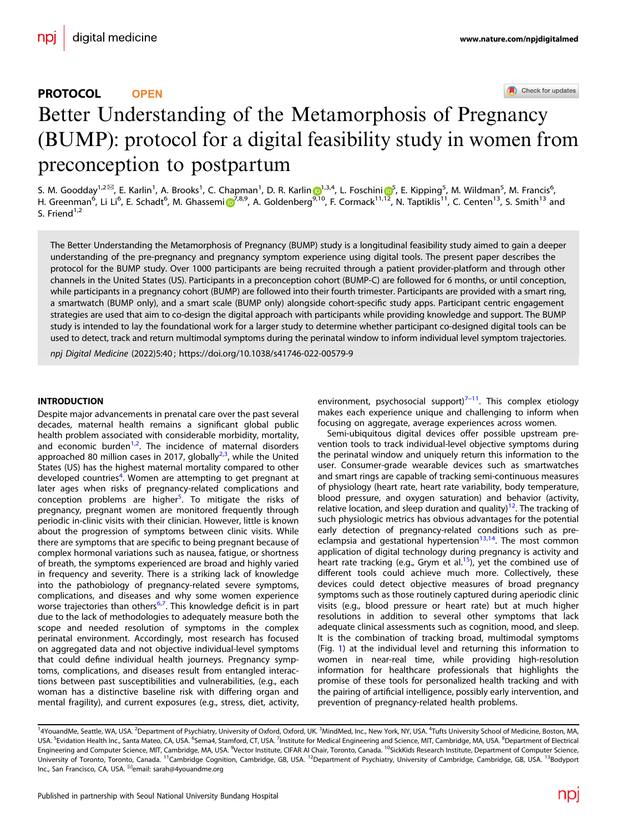## PROTOCOL **OPEN**

Check for updates

# Better Understanding of the Metamorphosis of Preg[n](http://crossmark.crossref.org/dialog/?doi=10.1038/s41746-022-00579-9&domain=pdf)ancy (BUMP): protocol for a digital feasibility study in women from preconception to postpartum

S. M. Goodday<sup>1,2⊠</sup>, E. Karli[n](http://orcid.org/0000-0001-6038-6943)<sup>[1](http://orcid.org/0000-0001-6038-6943)</sup>, A. Brooks<sup>1</sup>, C. Chapman<sup>1</sup>, D. R. Karlin D<sup>1,3,4</sup>, L. Foschini D<sup>[5](http://orcid.org/0000-0003-1409-3570)</sup>, E. Kipping<sup>5</sup>, M. Wildman<sup>5</sup>, M. Francis<sup>6</sup>, H. Greenman<sup>6</sup>, L[i](http://orcid.org/0000-0001-6349-7251) Li<sup>6</sup>, E. Schadt<sup>6</sup>, M. Ghassemi <mark>D<sup>[7](http://orcid.org/0000-0001-6349-7251),8,9</sup>, A. Goldenberg<sup>9[,1](http://orcid.org/0000-0003-1409-3570)0</sup>, F. Cormack<sup>11,12</sup>, N. Taptiklis<sup>11</sup>, C. Centen<sup>13</sup>, S. Smith<sup>13</sup> and</mark> S. Friend $1,2$ 

The Better Understanding the Metamorphosis of Pregnancy (BUMP) study is a longitudinal feasibility study aimed to gain a deeper understanding of the pre-pregnancy and pregnancy symptom experience using digital tools. The present paper describes the protocol for the BUMP study. Over 1000 participants are being recruited through a patient provider-platform and through other channels in the United States (US). Participants in a preconception cohort (BUMP-C) are followed for 6 months, or until conception, while participants in a pregnancy cohort (BUMP) are followed into their fourth trimester. Participants are provided with a smart ring, a smartwatch (BUMP only), and a smart scale (BUMP only) alongside cohort-specific study apps. Participant centric engagement strategies are used that aim to co-design the digital approach with participants while providing knowledge and support. The BUMP study is intended to lay the foundational work for a larger study to determine whether participant co-designed digital tools can be used to detect, track and return multimodal symptoms during the perinatal window to inform individual level symptom trajectories.

npj Digital Medicine (2022) 5:40 ; https://doi.org/1[0.1038/s41746-022-00579-9](https://doi.org/10.1038/s41746-022-00579-9)

## **INTRODUCTION**

Despite major advancements in prenatal care over the past several decades, maternal health remains a significant global public health problem associated with considerable morbidity, mortality, and economic burden<sup>[1,2](#page-6-0)</sup>. The incidence of maternal disorders approached 80 million cases in 2017, globally<sup>2,3</sup>, while the United States (US) has the highest maternal mortality compared to other developed countries<sup>[4](#page-6-0)</sup>. Women are attempting to get pregnant at later ages when risks of pregnancy-related complications and conception problems are higher<sup>5</sup>. To mitigate the risks of pregnancy, pregnant women are monitored frequently through periodic in-clinic visits with their clinician. However, little is known about the progression of symptoms between clinic visits. While there are symptoms that are specific to being pregnant because of complex hormonal variations such as nausea, fatigue, or shortness of breath, the symptoms experienced are broad and highly varied in frequency and severity. There is a striking lack of knowledge into the pathobiology of pregnancy-related severe symptoms, complications, and diseases and why some women experience worse trajectories than others<sup>[6,7](#page-6-0)</sup>. This knowledge deficit is in part due to the lack of methodologies to adequately measure both the scope and needed resolution of symptoms in the complex perinatal environment. Accordingly, most research has focused on aggregated data and not objective individual-level symptoms that could define individual health journeys. Pregnancy symptoms, complications, and diseases result from entangled interactions between past susceptibilities and vulnerabilities, (e.g., each woman has a distinctive baseline risk with differing organ and mental fragility), and current exposures (e.g., stress, diet, activity, environment, psychosocial support) $7-11$  $7-11$  $7-11$ . This complex etiology makes each experience unique and challenging to inform when focusing on aggregate, average experiences across women.

Semi-ubiquitous digital devices offer possible upstream prevention tools to track individual-level objective symptoms during the perinatal window and uniquely return this information to the user. Consumer-grade wearable devices such as smartwatches and smart rings are capable of tracking semi-continuous measures of physiology (heart rate, heart rate variability, body temperature, blood pressure, and oxygen saturation) and behavior (activity, relative location, and sleep duration and quality)<sup>12</sup>. The tracking of such physiologic metrics has obvious advantages for the potential early detection of pregnancy-related conditions such as preeclampsia and gestational hypertension $13,14$  $13,14$ . The most common application of digital technology during pregnancy is activity and heart rate tracking (e.g., Grym et al. $15$ ), yet the combined use of different tools could achieve much more. Collectively, these devices could detect objective measures of broad pregnancy symptoms such as those routinely captured during aperiodic clinic visits (e.g., blood pressure or heart rate) but at much higher resolutions in addition to several other symptoms that lack adequate clinical assessments such as cognition, mood, and sleep. It is the combination of tracking broad, multimodal symptoms (Fig. [1\)](#page-1-0) at the individual level and returning this information to women in near-real time, while providing high-resolution information for healthcare professionals that highlights the promise of these tools for personalized health tracking and with the pairing of artificial intelligence, possibly early intervention, and prevention of pregnancy-related health problems.

<sup>&</sup>lt;sup>1</sup>4YouandMe, Seattle, WA, USA. <sup>2</sup>Department of Psychiatry, University of Oxford, Oxford, UK. <sup>3</sup>MindMed, Inc., New York, NY, USA. <sup>4</sup>Tufts University School of Medicine, Boston, MA, USA. <sup>5</sup>Evidation Health Inc., Santa Mateo, CA, USA. <sup>6</sup>Sema4, Stamford, CT, USA. <sup>7</sup>Institute for Medical Engineering and Science, MIT, Cambridge, MA, USA. <sup>8</sup>Department of Electrical Engineering and Computer Science, MIT, Cambridge, MA, USA. <sup>9</sup>Vector Institute, CIFAR AI Chair, Toronto, Canada. <sup>10</sup>SickKids Research Institute, Department of Computer Science, Liniversity of Toronto, Toronto, Canada. <sup>11</sup>Cambridge Cognition, Cambridge, GB, USA. <sup>12</sup>Department of Psychiatry, University of Cambridge, Cambridge, GB, USA. <sup>13</sup>Bodyport Inc., San Francisco, CA, USA. ✉email: [sarah@4youandme.org](mailto:sarah@4youandme.org)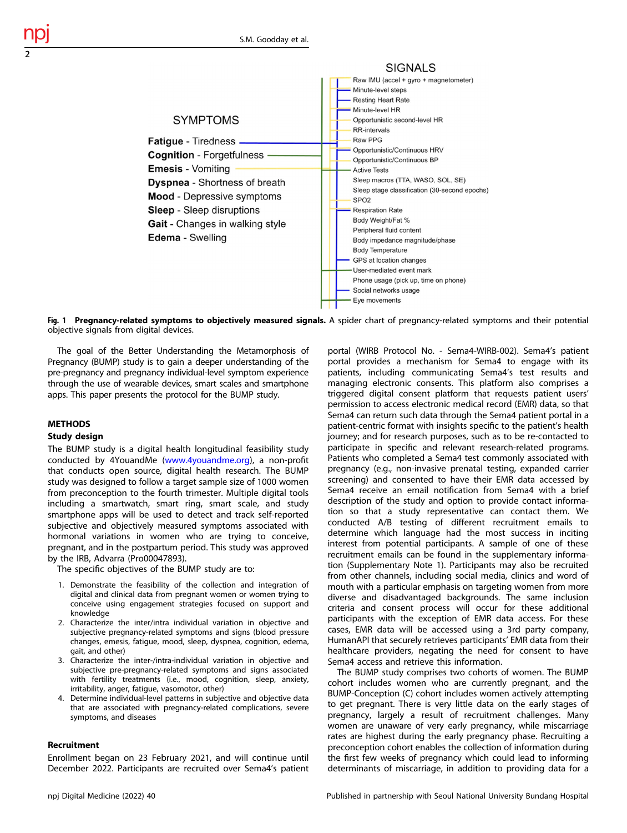

Fig. 1 Pregnancy-related symptoms to objectively measured signals. A spider chart of pregnancy-related symptoms and their potential objective signals from digital devices.

The goal of the Better Understanding the Metamorphosis of Pregnancy (BUMP) study is to gain a deeper understanding of the pre-pregnancy and pregnancy individual-level symptom experience through the use of wearable devices, smart scales and smartphone apps. This paper presents the protocol for the BUMP study.

## METHODS

<span id="page-1-0"></span>2

## Study design

The BUMP study is a digital health longitudinal feasibility study conducted by 4YouandMe ([www.4youandme.org](http://www.4youandme.org)), a non-profit that conducts open source, digital health research. The BUMP study was designed to follow a target sample size of 1000 women from preconception to the fourth trimester. Multiple digital tools including a smartwatch, smart ring, smart scale, and study smartphone apps will be used to detect and track self-reported subjective and objectively measured symptoms associated with hormonal variations in women who are trying to conceive, pregnant, and in the postpartum period. This study was approved by the IRB, Advarra (Pro00047893).

The specific objectives of the BUMP study are to:

- 1. Demonstrate the feasibility of the collection and integration of digital and clinical data from pregnant women or women trying to conceive using engagement strategies focused on support and knowledge
- 2. Characterize the inter/intra individual variation in objective and subjective pregnancy-related symptoms and signs (blood pressure changes, emesis, fatigue, mood, sleep, dyspnea, cognition, edema, gait, and other)
- 3. Characterize the inter-/intra-individual variation in objective and subjective pre-pregnancy-related symptoms and signs associated with fertility treatments (i.e., mood, cognition, sleep, anxiety, irritability, anger, fatigue, vasomotor, other)
- 4. Determine individual-level patterns in subjective and objective data that are associated with pregnancy-related complications, severe symptoms, and diseases

#### Recruitment

Enrollment began on 23 February 2021, and will continue until December 2022. Participants are recruited over Sema4's patient

portal (WIRB Protocol No. - Sema4-WIRB-002). Sema4's patient portal provides a mechanism for Sema4 to engage with its patients, including communicating Sema4's test results and managing electronic consents. This platform also comprises a triggered digital consent platform that requests patient users' permission to access electronic medical record (EMR) data, so that Sema4 can return such data through the Sema4 patient portal in a patient-centric format with insights specific to the patient's health journey; and for research purposes, such as to be re-contacted to participate in specific and relevant research-related programs. Patients who completed a Sema4 test commonly associated with pregnancy (e.g., non-invasive prenatal testing, expanded carrier screening) and consented to have their EMR data accessed by Sema4 receive an email notification from Sema4 with a brief description of the study and option to provide contact information so that a study representative can contact them. We conducted A/B testing of different recruitment emails to determine which language had the most success in inciting interest from potential participants. A sample of one of these recruitment emails can be found in the supplementary information (Supplementary Note 1). Participants may also be recruited from other channels, including social media, clinics and word of mouth with a particular emphasis on targeting women from more diverse and disadvantaged backgrounds. The same inclusion criteria and consent process will occur for these additional participants with the exception of EMR data access. For these cases, EMR data will be accessed using a 3rd party company, HumanAPI that securely retrieves participants' EMR data from their healthcare providers, negating the need for consent to have Sema4 access and retrieve this information.

The BUMP study comprises two cohorts of women. The BUMP cohort includes women who are currently pregnant, and the BUMP-Conception (C) cohort includes women actively attempting to get pregnant. There is very little data on the early stages of pregnancy, largely a result of recruitment challenges. Many women are unaware of very early pregnancy, while miscarriage rates are highest during the early pregnancy phase. Recruiting a preconception cohort enables the collection of information during the first few weeks of pregnancy which could lead to informing determinants of miscarriage, in addition to providing data for a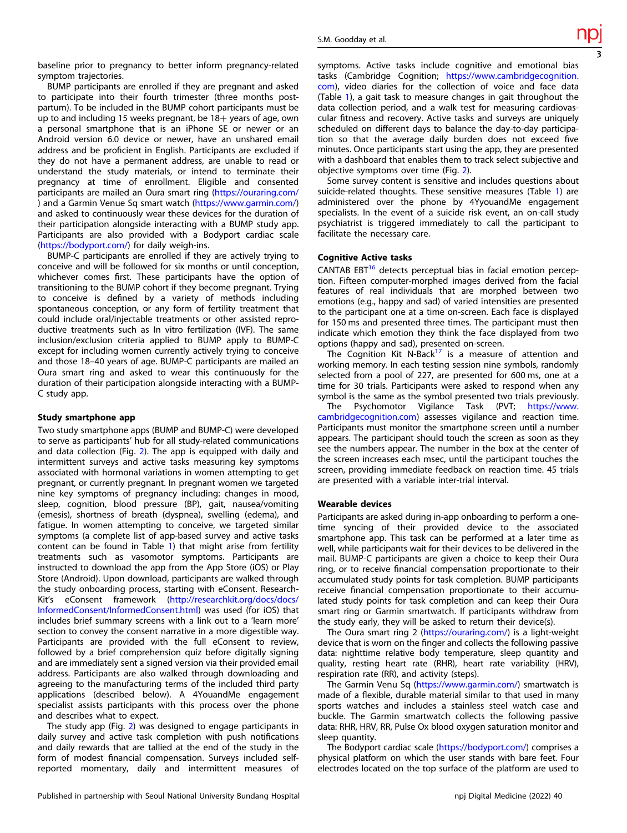baseline prior to pregnancy to better inform pregnancy-related symptom trajectories.

BUMP participants are enrolled if they are pregnant and asked to participate into their fourth trimester (three months postpartum). To be included in the BUMP cohort participants must be up to and including 15 weeks pregnant, be  $18+$  years of age, own a personal smartphone that is an iPhone SE or newer or an Android version 6.0 device or newer, have an unshared email address and be proficient in English. Participants are excluded if they do not have a permanent address, are unable to read or understand the study materials, or intend to terminate their pregnancy at time of enrollment. Eligible and consented participants are mailed an Oura smart ring [\(https://ouraring.com/](https://ouraring.com/) ) and a Garmin Venue Sq smart watch [\(https://www.garmin.com/](https://www.garmin.com/)) and asked to continuously wear these devices for the duration of their participation alongside interacting with a BUMP study app. Participants are also provided with a Bodyport cardiac scale [\(https://bodyport.com/](https://bodyport.com/)) for daily weigh-ins.

BUMP-C participants are enrolled if they are actively trying to conceive and will be followed for six months or until conception, whichever comes first. These participants have the option of transitioning to the BUMP cohort if they become pregnant. Trying to conceive is defined by a variety of methods including spontaneous conception, or any form of fertility treatment that could include oral/injectable treatments or other assisted reproductive treatments such as In vitro fertilization (IVF). The same inclusion/exclusion criteria applied to BUMP apply to BUMP-C except for including women currently actively trying to conceive and those 18–40 years of age. BUMP-C participants are mailed an Oura smart ring and asked to wear this continuously for the duration of their participation alongside interacting with a BUMP-C study app.

#### Study smartphone app

Two study smartphone apps (BUMP and BUMP-C) were developed to serve as participants' hub for all study-related communications and data collection (Fig. [2](#page-3-0)). The app is equipped with daily and intermittent surveys and active tasks measuring key symptoms associated with hormonal variations in women attempting to get pregnant, or currently pregnant. In pregnant women we targeted nine key symptoms of pregnancy including: changes in mood, sleep, cognition, blood pressure (BP), gait, nausea/vomiting (emesis), shortness of breath (dyspnea), swelling (edema), and fatigue. In women attempting to conceive, we targeted similar symptoms (a complete list of app-based survey and active tasks content can be found in Table [1](#page-4-0)) that might arise from fertility treatments such as vasomotor symptoms. Participants are instructed to download the app from the App Store (iOS) or Play Store (Android). Upon download, participants are walked through the study onboarding process, starting with eConsent. Research-Kit's eConsent framework [\(http://researchkit.org/docs/docs/](http://researchkit.org/docs/docs/InformedConsent/InformedConsent.html) [InformedConsent/InformedConsent.html](http://researchkit.org/docs/docs/InformedConsent/InformedConsent.html)) was used (for iOS) that includes brief summary screens with a link out to a 'learn more' section to convey the consent narrative in a more digestible way. Participants are provided with the full eConsent to review, followed by a brief comprehension quiz before digitally signing and are immediately sent a signed version via their provided email address. Participants are also walked through downloading and agreeing to the manufacturing terms of the included third party applications (described below). A 4YouandMe engagement specialist assists participants with this process over the phone and describes what to expect.

The study app (Fig. [2](#page-3-0)) was designed to engage participants in daily survey and active task completion with push notifications and daily rewards that are tallied at the end of the study in the form of modest financial compensation. Surveys included selfreported momentary, daily and intermittent measures of symptoms. Active tasks include cognitive and emotional bias tasks (Cambridge Cognition; [https://www.cambridgecognition.](https://www.cambridgecognition.com) [com](https://www.cambridgecognition.com)), video diaries for the collection of voice and face data (Table [1](#page-4-0)), a gait task to measure changes in gait throughout the data collection period, and a walk test for measuring cardiovascular fitness and recovery. Active tasks and surveys are uniquely scheduled on different days to balance the day-to-day participation so that the average daily burden does not exceed five minutes. Once participants start using the app, they are presented with a dashboard that enables them to track select subjective and objective symptoms over time (Fig. [2\)](#page-3-0).

Some survey content is sensitive and includes questions about suicide-related thoughts. These sensitive measures (Table [1](#page-4-0)) are administered over the phone by 4YyouandMe engagement specialists. In the event of a suicide risk event, an on-call study psychiatrist is triggered immediately to call the participant to facilitate the necessary care.

#### Cognitive Active tasks

CANTAB EBT<sup>16</sup> detects perceptual bias in facial emotion perception. Fifteen computer-morphed images derived from the facial features of real individuals that are morphed between two emotions (e.g., happy and sad) of varied intensities are presented to the participant one at a time on-screen. Each face is displayed for 150 ms and presented three times. The participant must then indicate which emotion they think the face displayed from two options (happy and sad), presented on-screen.

The Cognition Kit N-Back<sup>[17](#page-6-0)</sup> is a measure of attention and working memory. In each testing session nine symbols, randomly selected from a pool of 227, are presented for 600 ms, one at a time for 30 trials. Participants were asked to respond when any symbol is the same as the symbol presented two trials previously.

The Psychomotor Vigilance Task (PVT; [https://www.](https://www.cambridgecognition.com) [cambridgecognition.com\)](https://www.cambridgecognition.com) assesses vigilance and reaction time. Participants must monitor the smartphone screen until a number appears. The participant should touch the screen as soon as they see the numbers appear. The number in the box at the center of the screen increases each msec, until the participant touches the screen, providing immediate feedback on reaction time. 45 trials are presented with a variable inter-trial interval.

#### Wearable devices

Participants are asked during in-app onboarding to perform a onetime syncing of their provided device to the associated smartphone app. This task can be performed at a later time as well, while participants wait for their devices to be delivered in the mail. BUMP-C participants are given a choice to keep their Oura ring, or to receive financial compensation proportionate to their accumulated study points for task completion. BUMP participants receive financial compensation proportionate to their accumulated study points for task completion and can keep their Oura smart ring or Garmin smartwatch. If participants withdraw from the study early, they will be asked to return their device(s).

The Oura smart ring 2 [\(https://ouraring.com/](https://ouraring.com/)) is a light-weight device that is worn on the finger and collects the following passive data: nighttime relative body temperature, sleep quantity and quality, resting heart rate (RHR), heart rate variability (HRV), respiration rate (RR), and activity (steps).

The Garmin Venu Sq ([https://www.garmin.com/\)](https://www.garmin.com/) smartwatch is made of a flexible, durable material similar to that used in many sports watches and includes a stainless steel watch case and buckle. The Garmin smartwatch collects the following passive data: RHR, HRV, RR, Pulse Ox blood oxygen saturation monitor and sleep quantity.

The Bodyport cardiac scale [\(https://bodyport.com/](https://bodyport.com/)) comprises a physical platform on which the user stands with bare feet. Four electrodes located on the top surface of the platform are used to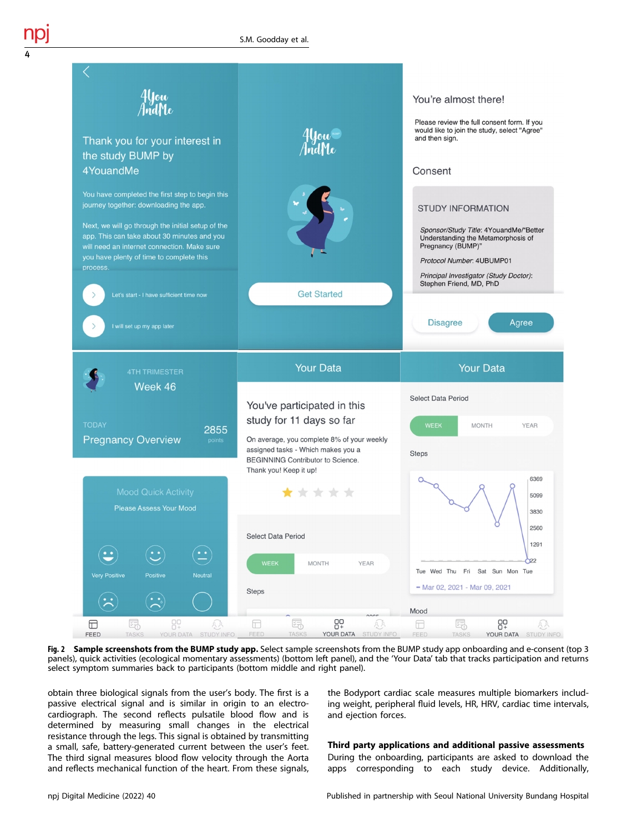

Fig. 2 Sample screenshots from the BUMP study app. Select sample screenshots from the BUMP study app onboarding and e-consent (top 3 panels), quick activities (ecological momentary assessments) (bottom left panel), and the 'Your Data' tab that tracks participation and returns select symptom summaries back to participants (bottom middle and right panel).

obtain three biological signals from the user's body. The first is a passive electrical signal and is similar in origin to an electrocardiograph. The second reflects pulsatile blood flow and is determined by measuring small changes in the electrical resistance through the legs. This signal is obtained by transmitting a small, safe, battery-generated current between the user's feet. The third signal measures blood flow velocity through the Aorta and reflects mechanical function of the heart. From these signals, the Bodyport cardiac scale measures multiple biomarkers including weight, peripheral fluid levels, HR, HRV, cardiac time intervals, and ejection forces.

## Third party applications and additional passive assessments

During the onboarding, participants are asked to download the apps corresponding to each study device. Additionally,

<span id="page-3-0"></span>4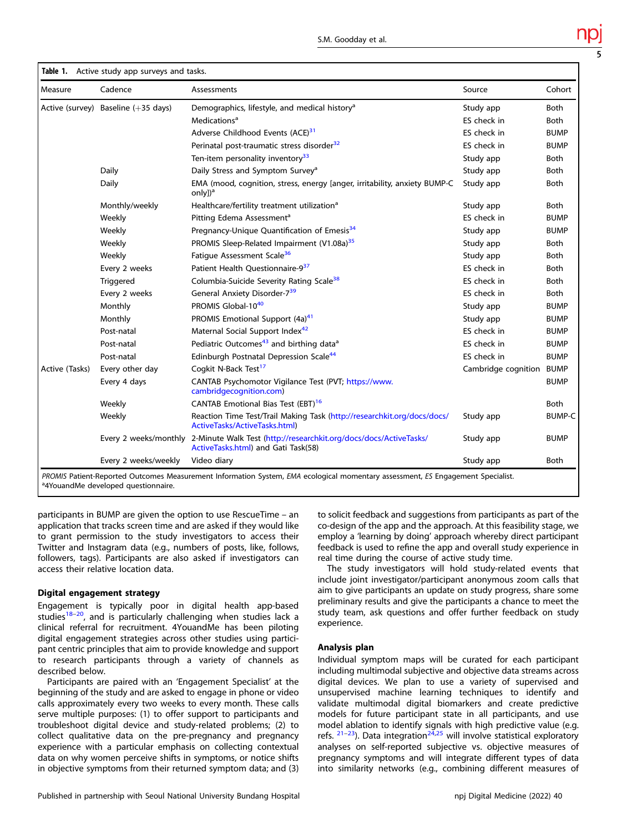<span id="page-4-0"></span>

| Measure        | Cadence                             | Assessments                                                                                                                    | Source              | Cohort        |
|----------------|-------------------------------------|--------------------------------------------------------------------------------------------------------------------------------|---------------------|---------------|
|                | Active (survey) Baseline (+35 days) | Demographics, lifestyle, and medical history <sup>a</sup>                                                                      | Study app           | <b>Both</b>   |
|                |                                     | Medications <sup>a</sup>                                                                                                       | ES check in         | <b>Both</b>   |
|                |                                     | Adverse Childhood Events (ACE) <sup>31</sup>                                                                                   | ES check in         | <b>BUMP</b>   |
|                |                                     | Perinatal post-traumatic stress disorder <sup>32</sup>                                                                         | ES check in         | <b>BUMP</b>   |
|                |                                     | Ten-item personality inventory <sup>33</sup>                                                                                   | Study app           | <b>Both</b>   |
|                | Daily                               | Daily Stress and Symptom Survey <sup>a</sup>                                                                                   | Study app           | <b>Both</b>   |
|                | Daily                               | EMA (mood, cognition, stress, energy [anger, irritability, anxiety BUMP-C<br>only]) <sup>a</sup>                               | Study app           | <b>Both</b>   |
|                | Monthly/weekly                      | Healthcare/fertility treatment utilization <sup>a</sup>                                                                        | Study app           | Both          |
|                | Weekly                              | Pitting Edema Assessment <sup>a</sup>                                                                                          | ES check in         | <b>BUMP</b>   |
|                | Weekly                              | Pregnancy-Unique Quantification of Emesis <sup>34</sup>                                                                        | Study app           | <b>BUMP</b>   |
|                | Weekly                              | PROMIS Sleep-Related Impairment (V1.08a) <sup>35</sup>                                                                         | Study app           | <b>Both</b>   |
|                | Weekly                              | Fatique Assessment Scale <sup>36</sup>                                                                                         | Study app           | <b>Both</b>   |
|                | Every 2 weeks                       | Patient Health Questionnaire-937                                                                                               | ES check in         | <b>Both</b>   |
|                | Triggered                           | Columbia-Suicide Severity Rating Scale <sup>38</sup>                                                                           | ES check in         | <b>Both</b>   |
|                | Every 2 weeks                       | General Anxiety Disorder-739                                                                                                   | ES check in         | <b>Both</b>   |
|                | Monthly                             | PROMIS Global-10 <sup>40</sup>                                                                                                 | Study app           | <b>BUMP</b>   |
|                | Monthly                             | PROMIS Emotional Support (4a) <sup>41</sup>                                                                                    | Study app           | <b>BUMP</b>   |
|                | Post-natal                          | Maternal Social Support Index <sup>42</sup>                                                                                    | ES check in         | <b>BUMP</b>   |
|                | Post-natal                          | Pediatric Outcomes <sup>43</sup> and birthing data <sup>a</sup>                                                                | ES check in         | <b>BUMP</b>   |
|                | Post-natal                          | Edinburgh Postnatal Depression Scale <sup>44</sup>                                                                             | ES check in         | <b>BUMP</b>   |
| Active (Tasks) | Every other day                     | Cogkit N-Back Test <sup>17</sup>                                                                                               | Cambridge cognition | <b>BUMP</b>   |
|                | Every 4 days                        | CANTAB Psychomotor Vigilance Test (PVT; https://www.<br>cambridgecognition.com)                                                |                     | <b>BUMP</b>   |
|                | Weekly                              | CANTAB Emotional Bias Test (EBT) <sup>16</sup>                                                                                 |                     | <b>Both</b>   |
|                | Weekly                              | Reaction Time Test/Trail Making Task (http://researchkit.org/docs/docs/<br>ActiveTasks/ActiveTasks.html)                       | Study app           | <b>BUMP-C</b> |
|                |                                     | Every 2 weeks/monthly 2-Minute Walk Test (http://researchkit.org/docs/docs/ActiveTasks/<br>ActiveTasks.html) and Gati Task(58) | Study app           | <b>BUMP</b>   |
|                | Every 2 weeks/weekly                | Video diary                                                                                                                    | Study app           | <b>Both</b>   |

<sup>a</sup>4YouandMe developed questionnaire.

participants in BUMP are given the option to use RescueTime – an application that tracks screen time and are asked if they would like to grant permission to the study investigators to access their Twitter and Instagram data (e.g., numbers of posts, like, follows, followers, tags). Participants are also asked if investigators can access their relative location data.

#### Digital engagement strategy

Engagement is typically poor in digital health app-based studies<sup>[18](#page-6-0)–[20](#page-6-0)</sup>, and is particularly challenging when studies lack a clinical referral for recruitment. 4YouandMe has been piloting digital engagement strategies across other studies using participant centric principles that aim to provide knowledge and support to research participants through a variety of channels as described below.

Participants are paired with an 'Engagement Specialist' at the beginning of the study and are asked to engage in phone or video calls approximately every two weeks to every month. These calls serve multiple purposes: (1) to offer support to participants and troubleshoot digital device and study-related problems; (2) to collect qualitative data on the pre-pregnancy and pregnancy experience with a particular emphasis on collecting contextual data on why women perceive shifts in symptoms, or notice shifts in objective symptoms from their returned symptom data; and (3) to solicit feedback and suggestions from participants as part of the co-design of the app and the approach. At this feasibility stage, we employ a 'learning by doing' approach whereby direct participant feedback is used to refine the app and overall study experience in real time during the course of active study time.

The study investigators will hold study-related events that include joint investigator/participant anonymous zoom calls that aim to give participants an update on study progress, share some preliminary results and give the participants a chance to meet the study team, ask questions and offer further feedback on study experience.

## Analysis plan

Individual symptom maps will be curated for each participant including multimodal subjective and objective data streams across digital devices. We plan to use a variety of supervised and unsupervised machine learning techniques to identify and validate multimodal digital biomarkers and create predictive models for future participant state in all participants, and use model ablation to identify signals with high predictive value (e.g. refs.  $21-23$  $21-23$  $21-23$ ). Data integration $24,25$  will involve statistical exploratory analyses on self-reported subjective vs. objective measures of pregnancy symptoms and will integrate different types of data into similarity networks (e.g., combining different measures of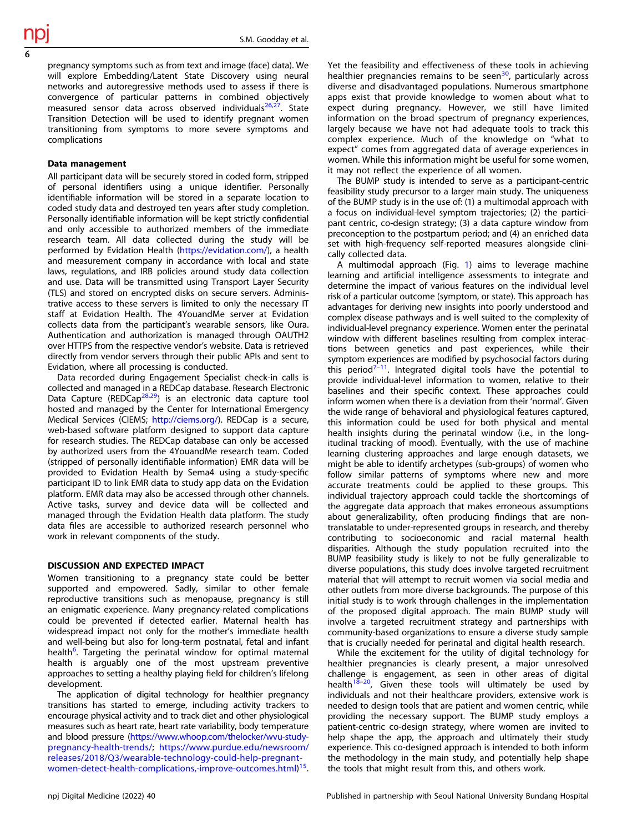pregnancy symptoms such as from text and image (face) data). We will explore Embedding/Latent State Discovery using neural networks and autoregressive methods used to assess if there is convergence of particular patterns in combined objectively measured sensor data across observed individuals<sup>[26](#page-6-0),27</sup>. State Transition Detection will be used to identify pregnant women transitioning from symptoms to more severe symptoms and complications

#### Data management

All participant data will be securely stored in coded form, stripped of personal identifiers using a unique identifier. Personally identifiable information will be stored in a separate location to coded study data and destroyed ten years after study completion. Personally identifiable information will be kept strictly confidential and only accessible to authorized members of the immediate research team. All data collected during the study will be performed by Evidation Health ([https://evidation.com/\)](https://evidation.com/), a health and measurement company in accordance with local and state laws, regulations, and IRB policies around study data collection and use. Data will be transmitted using Transport Layer Security (TLS) and stored on encrypted disks on secure servers. Administrative access to these servers is limited to only the necessary IT staff at Evidation Health. The 4YouandMe server at Evidation collects data from the participant's wearable sensors, like Oura. Authentication and authorization is managed through OAUTH2 over HTTPS from the respective vendor's website. Data is retrieved directly from vendor servers through their public APIs and sent to Evidation, where all processing is conducted.

Data recorded during Engagement Specialist check-in calls is collected and managed in a REDCap database. Research Electronic Data Capture (REDCap<sup>[28](#page-6-0),[29](#page-6-0)</sup>) is an electronic data capture tool hosted and managed by the Center for International Emergency Medical Services (CIEMS; <http://ciems.org/>). REDCap is a secure, web-based software platform designed to support data capture for research studies. The REDCap database can only be accessed by authorized users from the 4YouandMe research team. Coded (stripped of personally identifiable information) EMR data will be provided to Evidation Health by Sema4 using a study-specific participant ID to link EMR data to study app data on the Evidation platform. EMR data may also be accessed through other channels. Active tasks, survey and device data will be collected and managed through the Evidation Health data platform. The study data files are accessible to authorized research personnel who work in relevant components of the study.

## DISCUSSION AND EXPECTED IMPACT

Women transitioning to a pregnancy state could be better supported and empowered. Sadly, similar to other female reproductive transitions such as menopause, pregnancy is still an enigmatic experience. Many pregnancy-related complications could be prevented if detected earlier. Maternal health has widespread impact not only for the mother's immediate health and well-being but also for long-term postnatal, fetal and infant health<sup>[6](#page-6-0)</sup>. Targeting the perinatal window for optimal maternal health is arguably one of the most upstream preventive approaches to setting a healthy playing field for children's lifelong development.

The application of digital technology for healthier pregnancy transitions has started to emerge, including activity trackers to encourage physical activity and to track diet and other physiological measures such as heart rate, heart rate variability, body temperature and blood pressure ([https://www.whoop.com/thelocker/wvu-study](https://www.whoop.com/thelocker/wvu-study-pregnancy-health-trends/)[pregnancy-health-trends/;](https://www.whoop.com/thelocker/wvu-study-pregnancy-health-trends/) [https://www.purdue.edu/newsroom/](https://www.purdue.edu/newsroom/releases/2018/Q3/wearable-technology-could-help-pregnant-women-detect-health-complications,-improve-outcomes.html) [releases/2018/Q3/wearable-technology-could-help-pregnant](https://www.purdue.edu/newsroom/releases/2018/Q3/wearable-technology-could-help-pregnant-women-detect-health-complications,-improve-outcomes.html)[women-detect-health-complications,-improve-outcomes.html\)](https://www.purdue.edu/newsroom/releases/2018/Q3/wearable-technology-could-help-pregnant-women-detect-health-complications,-improve-outcomes.html) [15](#page-6-0).

Yet the feasibility and effectiveness of these tools in achieving healthier pregnancies remains to be seen<sup>30</sup>, particularly across diverse and disadvantaged populations. Numerous smartphone apps exist that provide knowledge to women about what to expect during pregnancy. However, we still have limited information on the broad spectrum of pregnancy experiences, largely because we have not had adequate tools to track this complex experience. Much of the knowledge on "what to expect" comes from aggregated data of average experiences in women. While this information might be useful for some women, it may not reflect the experience of all women.

The BUMP study is intended to serve as a participant-centric feasibility study precursor to a larger main study. The uniqueness of the BUMP study is in the use of: (1) a multimodal approach with a focus on individual-level symptom trajectories; (2) the participant centric, co-design strategy; (3) a data capture window from preconception to the postpartum period; and (4) an enriched data set with high-frequency self-reported measures alongside clinically collected data.

A multimodal approach (Fig. [1\)](#page-1-0) aims to leverage machine learning and artificial intelligence assessments to integrate and determine the impact of various features on the individual level risk of a particular outcome (symptom, or state). This approach has advantages for deriving new insights into poorly understood and complex disease pathways and is well suited to the complexity of individual-level pregnancy experience. Women enter the perinatal window with different baselines resulting from complex interactions between genetics and past experiences, while their symptom experiences are modified by psychosocial factors during this period $7-11$  $7-11$  $7-11$ . Integrated digital tools have the potential to provide individual-level information to women, relative to their baselines and their specific context. These approaches could inform women when there is a deviation from their 'normal'. Given the wide range of behavioral and physiological features captured, this information could be used for both physical and mental health insights during the perinatal window (i.e., in the longitudinal tracking of mood). Eventually, with the use of machine learning clustering approaches and large enough datasets, we might be able to identify archetypes (sub-groups) of women who follow similar patterns of symptoms where new and more accurate treatments could be applied to these groups. This individual trajectory approach could tackle the shortcomings of the aggregate data approach that makes erroneous assumptions about generalizability, often producing findings that are nontranslatable to under-represented groups in research, and thereby contributing to socioeconomic and racial maternal health disparities. Although the study population recruited into the BUMP feasibility study is likely to not be fully generalizable to diverse populations, this study does involve targeted recruitment material that will attempt to recruit women via social media and other outlets from more diverse backgrounds. The purpose of this initial study is to work through challenges in the implementation of the proposed digital approach. The main BUMP study will involve a targeted recruitment strategy and partnerships with community-based organizations to ensure a diverse study sample that is crucially needed for perinatal and digital health research.

While the excitement for the utility of digital technology for healthier pregnancies is clearly present, a major unresolved challenge is engagement, as seen in other areas of digital health $18-20$  $18-20$  $18-20$ , Given these tools will ultimately be used by individuals and not their healthcare providers, extensive work is needed to design tools that are patient and women centric, while providing the necessary support. The BUMP study employs a patient-centric co-design strategy, where women are invited to help shape the app, the approach and ultimately their study experience. This co-designed approach is intended to both inform the methodology in the main study, and potentially help shape the tools that might result from this, and others work.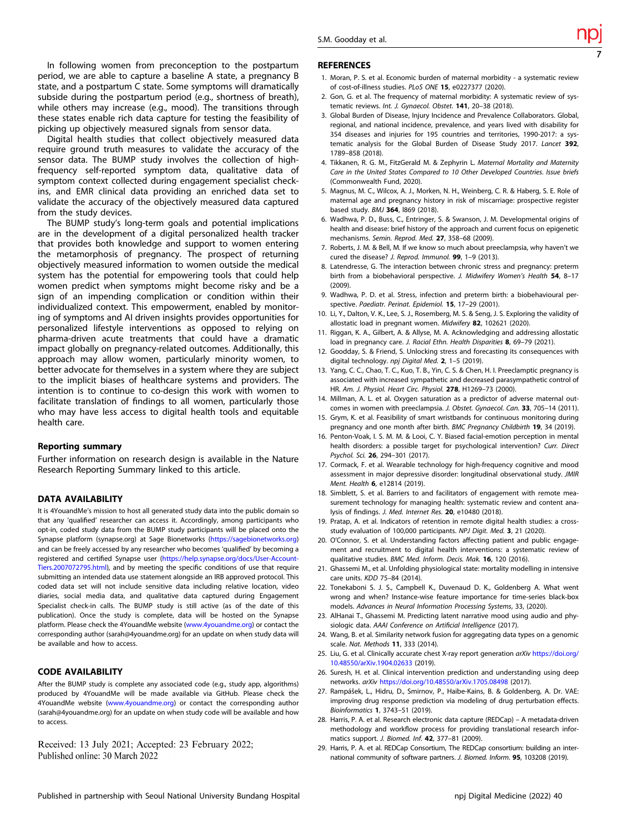<span id="page-6-0"></span>In following women from preconception to the postpartum period, we are able to capture a baseline A state, a pregnancy B state, and a postpartum C state. Some symptoms will dramatically subside during the postpartum period (e.g., shortness of breath), while others may increase (e.g., mood). The transitions through these states enable rich data capture for testing the feasibility of picking up objectively measured signals from sensor data.

Digital health studies that collect objectively measured data require ground truth measures to validate the accuracy of the sensor data. The BUMP study involves the collection of highfrequency self-reported symptom data, qualitative data of symptom context collected during engagement specialist checkins, and EMR clinical data providing an enriched data set to validate the accuracy of the objectively measured data captured from the study devices.

The BUMP study's long-term goals and potential implications are in the development of a digital personalized health tracker that provides both knowledge and support to women entering the metamorphosis of pregnancy. The prospect of returning objectively measured information to women outside the medical system has the potential for empowering tools that could help women predict when symptoms might become risky and be a sign of an impending complication or condition within their individualized context. This empowerment, enabled by monitoring of symptoms and AI driven insights provides opportunities for personalized lifestyle interventions as opposed to relying on pharma-driven acute treatments that could have a dramatic impact globally on pregnancy-related outcomes. Additionally, this approach may allow women, particularly minority women, to better advocate for themselves in a system where they are subject to the implicit biases of healthcare systems and providers. The intention is to continue to co-design this work with women to facilitate translation of findings to all women, particularly those who may have less access to digital health tools and equitable health care.

#### Reporting summary

Further information on research design is available in the Nature Research Reporting Summary linked to this article.

#### DATA AVAILABILITY

It is 4YouandMe's mission to host all generated study data into the public domain so that any 'qualified' researcher can access it. Accordingly, among participants who opt-in, coded study data from the BUMP study participants will be placed onto the Synapse platform (synapse.org) at Sage Bionetworks [\(https://sagebionetworks.org\)](https://sagebionetworks.org) and can be freely accessed by any researcher who becomes 'qualified' by becoming a registered and certified Synapse user [\(https://help.synapse.org/docs/User-Account-](https://help.synapse.org/docs/User-Account-Tiers.2007072795.html)[Tiers.2007072795.html](https://help.synapse.org/docs/User-Account-Tiers.2007072795.html)), and by meeting the specific conditions of use that require submitting an intended data use statement alongside an IRB approved protocol. This coded data set will not include sensitive data including relative location, video diaries, social media data, and qualitative data captured during Engagement Specialist check-in calls. The BUMP study is still active (as of the date of this publication). Once the study is complete, data will be hosted on the Synapse platform. Please check the 4YouandMe website ([www.4youandme.org\)](http://www.4youandme.org) or contact the corresponding author (sarah@4youandme.org) for an update on when study data will be available and how to access.

## CODE AVAILABILITY

After the BUMP study is complete any associated code (e.g., study app, algorithms) produced by 4YouandMe will be made available via GitHub. Please check the 4YouandMe website ([www.4youandme.org](http://www.4youandme.org)) or contact the corresponding author (sarah@4youandme.org) for an update on when study code will be available and how to access.

Received: 13 July 2021; Accepted: 23 February 2022; Published online: 30 March 2022

#### **REFERENCES**

1. Moran, P. S. et al. Economic burden of maternal morbidity - a systematic review of cost-of-illness studies. PLoS ONE 15, e0227377 (2020).

7

- 2. Gon, G. et al. The frequency of maternal morbidity: A systematic review of systematic reviews. Int. J. Gynaecol. Obstet. 141, 20–38 (2018).
- 3. Global Burden of Disease, Injury Incidence and Prevalence Collaborators. Global, regional, and national incidence, prevalence, and years lived with disability for 354 diseases and injuries for 195 countries and territories, 1990-2017: a systematic analysis for the Global Burden of Disease Study 2017. Lancet 392, 1789–858 (2018).
- 4. Tikkanen, R. G. M., FitzGerald M. & Zephyrin L. Maternal Mortality and Maternity Care in the United States Compared to 10 Other Developed Countries. Issue briefs (Commonwealth Fund, 2020).
- 5. Magnus, M. C., Wilcox, A. J., Morken, N. H., Weinberg, C. R. & Haberg, S. E. Role of maternal age and pregnancy history in risk of miscarriage: prospective register based study. BMJ 364, l869 (2018).
- 6. Wadhwa, P. D., Buss, C., Entringer, S. & Swanson, J. M. Developmental origins of health and disease: brief history of the approach and current focus on epigenetic mechanisms. Semin. Reprod. Med. 27, 358–68 (2009).
- 7. Roberts, J. M. & Bell, M. If we know so much about preeclampsia, why haven't we cured the disease? J. Reprod. Immunol. 99, 1–9 (2013).
- 8. Latendresse, G. The interaction between chronic stress and pregnancy: preterm birth from a biobehavioral perspective. J. Midwifery Women's Health 54, 8-17 (2009).
- 9. Wadhwa, P. D. et al. Stress, infection and preterm birth: a biobehavioural perspective. Paediatr. Perinat. Epidemiol. 15, 17-29 (2001).
- 10. Li, Y., Dalton, V. K., Lee, S. J., Rosemberg, M. S. & Seng, J. S. Exploring the validity of allostatic load in pregnant women. Midwifery 82, 102621 (2020).
- 11. Riggan, K. A., Gilbert, A. & Allyse, M. A. Acknowledging and addressing allostatic load in pregnancy care. J. Racial Ethn. Health Disparities 8, 69-79 (2021).
- 12. Goodday, S. & Friend, S. Unlocking stress and forecasting its consequences with digital technology. npj Digital Med. 2, 1–5 (2019).
- 13. Yang, C. C., Chao, T. C., Kuo, T. B., Yin, C. S. & Chen, H. I. Preeclamptic pregnancy is associated with increased sympathetic and decreased parasympathetic control of HR. Am. J. Physiol. Heart Circ. Physiol. 278, H1269–73 (2000).
- 14. Millman, A. L. et al. Oxygen saturation as a predictor of adverse maternal outcomes in women with preeclampsia. J. Obstet. Gynaecol. Can. 33, 705–14 (2011).
- 15. Grym, K. et al. Feasibility of smart wristbands for continuous monitoring during pregnancy and one month after birth. BMC Pregnancy Childbirth 19, 34 (2019).
- 16. Penton-Voak, I. S. M. M. & Looi, C. Y. Biased facial-emotion perception in mental health disorders: a possible target for psychological intervention? Curr. Direct Psychol. Sci. 26, 294–301 (2017).
- 17. Cormack, F. et al. Wearable technology for high-frequency cognitive and mood assessment in major depressive disorder: longitudinal observational study. JMIR Ment. Health **6**, e12814 (2019).
- 18. Simblett, S. et al. Barriers to and facilitators of engagement with remote measurement technology for managing health: systematic review and content analysis of findings. J. Med. Internet Res. 20, e10480 (2018).
- 19. Pratap, A. et al. Indicators of retention in remote digital health studies: a crossstudy evaluation of 100,000 participants. NPJ Digit. Med. 3, 21 (2020).
- 20. O'Connor, S. et al. Understanding factors affecting patient and public engagement and recruitment to digital health interventions: a systematic review of qualitative studies. BMC Med. Inform. Decis. Mak. 16, 120 (2016).
- 21. Ghassemi M., et al. Unfolding physiological state: mortality modelling in intensive care units. KDD 75–84 (2014).
- 22. Tonekaboni S. J. S., Campbell K., Duvenaud D. K., Goldenberg A. What went wrong and when? Instance-wise feature importance for time-series black-box models. Advances in Neural Information Processing Systems, 33, (2020).
- 23. AlHanai T., Ghassemi M. Predicting latent narrative mood using audio and physiologic data. AAAI Conference on Artificial Intelligence (2017).
- 24. Wang, B. et al. Similarity network fusion for aggregating data types on a genomic scale. Nat. Methods 11, 333 (2014).
- 25. Liu, G. et al. Clinically accurate chest X-ray report generation arXiv [https://doi.org/](https://doi.org/10.48550/arXiv.1904.02633) [10.48550/arXiv.1904.02633](https://doi.org/10.48550/arXiv.1904.02633) (2019).
- 26. Suresh, H. et al. Clinical intervention prediction and understanding using deep networks. arXiv <https://doi.org/10.48550/arXiv.1705.08498> (2017).
- 27. Rampášek, L., Hidru, D., Smirnov, P., Haibe-Kains, B. & Goldenberg, A. Dr. VAE: improving drug response prediction via modeling of drug perturbation effects. Bioinformatics 1, 3743–51 (2019).
- 28. Harris, P. A. et al. Research electronic data capture (REDCap) A metadata-driven methodology and workflow process for providing translational research informatics support. J. Biomed. Inf. 42, 377–81 (2009).
- 29. Harris, P. A. et al. REDCap Consortium, The REDCap consortium: building an international community of software partners. J. Biomed. Inform. 95, 103208 (2019).